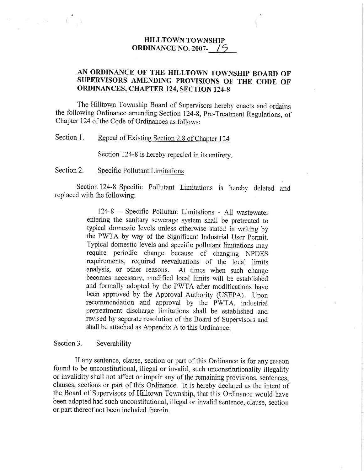## HILLTOWN TOWNSHIP ORDINANCE NO. 2007- $\sqrt{5}$

## AN ORDINANCE OF THE HILLTOWN TOWNSHIP BOARD OF SUPERVISORS AMENDING PROVISIONS OF THE CODE OF ORDINANCES, CHAPTER 124, SECTION 124-8

The Hilltown Township Board of Supervisors hereby enacts and ordains the following Ordinance arnending Section 124-8, Pre-Treatment Regulations, of Chapter 124 of the Code of Ordinances as follows:

## Section 1. Repeal of Existing Section 2.8 of Chapter 124

Section 124-8 is hereby repealed in its entirety.

Section 2. Specific Pollutant Limitations

Section 124-8 Specific Pollutant Limitations is hereby deleted and replaced with the following:

> 124-8 - Specific Pollutant Limitations - All wastewater entering the samtary sewerage system shall be pretreated to typical domestic levels unless otherwise stated in writing by the PWTA by way of the Significant Industrial User Perrnit. Typical domestic levels and specific pollutant limitations may require periodic change because of changing NPDES requirements, required reevaluations of the local limits analysis, or other reasons. At times when such change becomes necessary, modified local limrts will be established and formally adopted by the PWTA after modifications have been approved by the Approval Authority (USEPA). Upon recommendation and approval by the PWTA, industrial pretreatment discharge limitations shall be established and revised by separate resolution of the Board of Supervisors and shall be attached as Appendix A to this Ordinance

## Section 3. Severability

If any sentence, clause, section or part of this Ordinance is for any reason found to be unconstitutional, illegal or invalid, such unconstitutionality illegality or invalidity shall not affect or impair any of the remaining provisions, sentences, clauses, sections or part of this Ordinance. It is hereby declared as the intent of the Board of Supervisors of Hilltown Township, that this Ordinance would have been adopted had such unconstitutional, illegal or invalid sentence, clause, section or part thereof not been included therein.